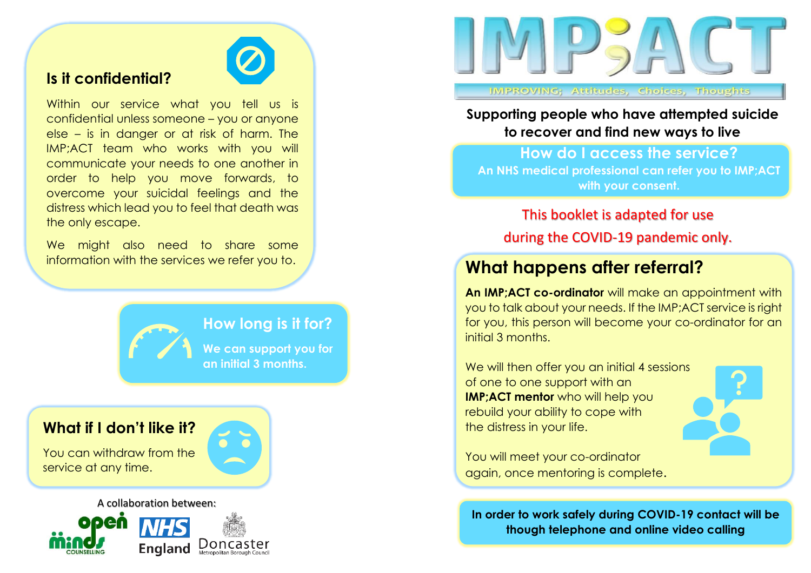## **Is it confidential?**



Within our service what you tell us is confidential unless someone – you or anyone else – is in danger or at risk of harm. The IMP;ACT team who works with you will communicate your needs to one another in order to help you move forwards, to overcome your suicidal feelings and the distress which lead you to feel that death was the only escape.

We might also need to share some information with the services we refer you to.



### **How long is it for?**

**We can support you for an initial 3 months.** 

#### **What if I don't like it?**

You can withdraw from the service at any time.



#### A collaboration between:





**IMPROVING; Attitudes, Choices, Thoughts** 

**Supporting people who have attempted suicide to recover and find new ways to live**

**How do I access the service? An NHS medical professional can refer you to IMP;ACT with your consent.**

This booklet is adapted for use during the COVID-19 pandemic only.

# **What happens after referral?**

**An IMP;ACT co-ordinator** will make an appointment with you to talk about your needs. If the IMP;ACT service is right for you, this person will become your co-ordinator for an initial 3 months.

We will then offer you an initial 4 sessions of one to one support with an **IMP;ACT mentor** who will help you rebuild your ability to cope with the distress in your life.



You will meet your co-ordinator again, once mentoring is complete.

**In order to work safely during COVID-19 contact will be though telephone and online video calling**